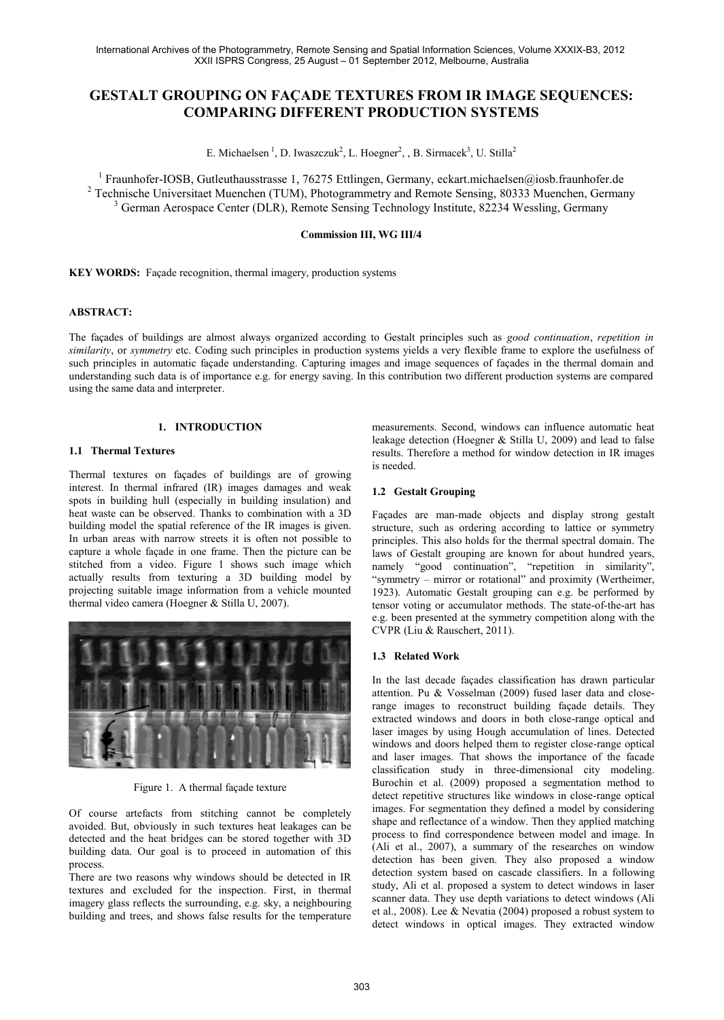# **GESTALT GROUPING ON FAÇADE TEXTURES FROM IR IMAGE SEQUENCES: COMPARING DIFFERENT PRODUCTION SYSTEMS**

E. Michaelsen<sup>1</sup>, D. Iwaszczuk<sup>2</sup>, L. Hoegner<sup>2</sup>, , B. Sirmacek<sup>3</sup>, U. Stilla<sup>2</sup>

<sup>1</sup> Fraunhofer-IOSB, Gutleuthausstrasse 1, 76275 Ettlingen, Germany, eckart.michaelsen@iosb.fraunhofer.de

<sup>2</sup> Technische Universitaet Muenchen (TUM), Photogrammetry and Remote Sensing, 80333 Muenchen, Germany <sup>3</sup> German Aerospace Center (DLR), Remote Sensing Technology Institute, 82234 Wessling, Germany

#### **Commission III, WG III/4**

**KEY WORDS:** Façade recognition, thermal imagery, production systems

#### **ABSTRACT:**

The façades of buildings are almost always organized according to Gestalt principles such as *good continuation*, *repetition in similarity*, or *symmetry* etc. Coding such principles in production systems yields a very flexible frame to explore the usefulness of such principles in automatic façade understanding. Capturing images and image sequences of façades in the thermal domain and understanding such data is of importance e.g. for energy saving. In this contribution two different production systems are compared using the same data and interpreter.

# **1. INTRODUCTION**

# **1.1 Thermal Textures**

Thermal textures on façades of buildings are of growing interest. In thermal infrared (IR) images damages and weak spots in building hull (especially in building insulation) and heat waste can be observed. Thanks to combination with a 3D building model the spatial reference of the IR images is given. In urban areas with narrow streets it is often not possible to capture a whole façade in one frame. Then the picture can be stitched from a video. Figure 1 shows such image which actually results from texturing a 3D building model by projecting suitable image information from a vehicle mounted thermal video camera (Hoegner & Stilla U, 2007).



Figure 1. A thermal façade texture

Of course artefacts from stitching cannot be completely avoided. But, obviously in such textures heat leakages can be detected and the heat bridges can be stored together with 3D building data. Our goal is to proceed in automation of this process.

There are two reasons why windows should be detected in IR textures and excluded for the inspection. First, in thermal imagery glass reflects the surrounding, e.g. sky, a neighbouring building and trees, and shows false results for the temperature

measurements. Second, windows can influence automatic heat leakage detection (Hoegner & Stilla U, 2009) and lead to false results. Therefore a method for window detection in IR images is needed.

#### **1.2 Gestalt Grouping**

Façades are man-made objects and display strong gestalt structure, such as ordering according to lattice or symmetry principles. This also holds for the thermal spectral domain. The laws of Gestalt grouping are known for about hundred years, namely "good continuation", "repetition in similarity", "symmetry – mirror or rotational" and proximity (Wertheimer, 1923). Automatic Gestalt grouping can e.g. be performed by tensor voting or accumulator methods. The state-of-the-art has e.g. been presented at the symmetry competition along with the CVPR (Liu & Rauschert, 2011).

# **1.3 Related Work**

In the last decade façades classification has drawn particular attention. Pu & Vosselman (2009) fused laser data and closerange images to reconstruct building façade details. They extracted windows and doors in both close-range optical and laser images by using Hough accumulation of lines. Detected windows and doors helped them to register close-range optical and laser images. That shows the importance of the facade classification study in three-dimensional city modeling. Burochin et al. (2009) proposed a segmentation method to detect repetitive structures like windows in close-range optical images. For segmentation they defined a model by considering shape and reflectance of a window. Then they applied matching process to find correspondence between model and image. In (Ali et al., 2007), a summary of the researches on window detection has been given. They also proposed a window detection system based on cascade classifiers. In a following study, Ali et al. proposed a system to detect windows in laser scanner data. They use depth variations to detect windows (Ali et al., 2008). Lee & Nevatia (2004) proposed a robust system to detect windows in optical images. They extracted window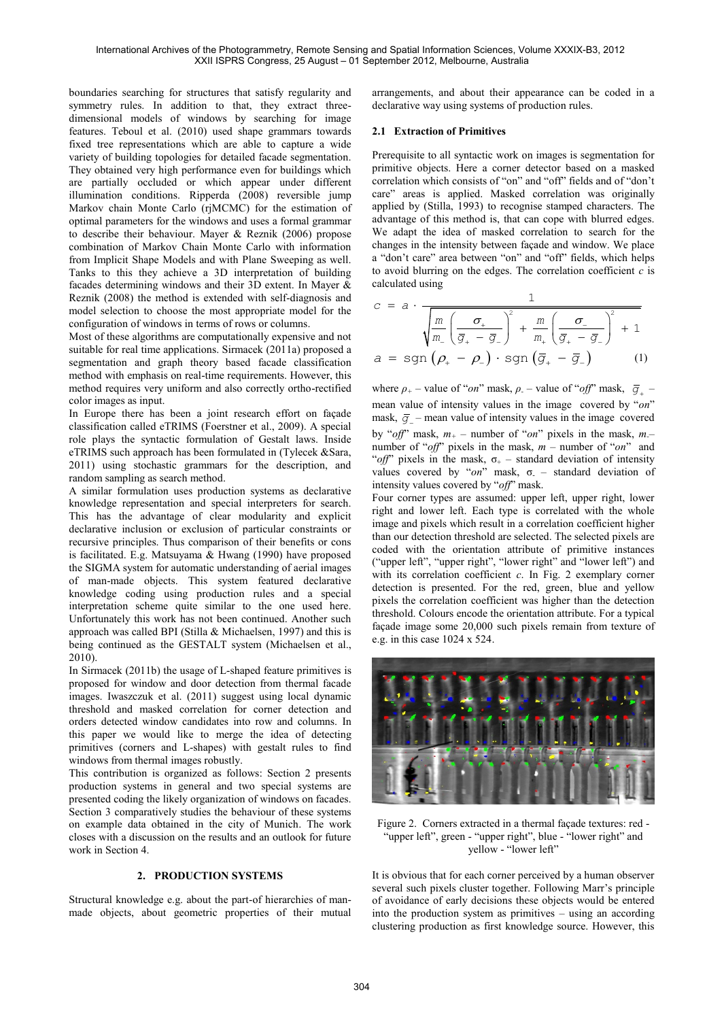boundaries searching for structures that satisfy regularity and symmetry rules. In addition to that, they extract threedimensional models of windows by searching for image features. Teboul et al. (2010) used shape grammars towards fixed tree representations which are able to capture a wide variety of building topologies for detailed facade segmentation. They obtained very high performance even for buildings which are partially occluded or which appear under different illumination conditions. Ripperda (2008) reversible jump Markov chain Monte Carlo (rjMCMC) for the estimation of optimal parameters for the windows and uses a formal grammar to describe their behaviour. Mayer & Reznik (2006) propose combination of Markov Chain Monte Carlo with information from Implicit Shape Models and with Plane Sweeping as well. Tanks to this they achieve a 3D interpretation of building facades determining windows and their 3D extent. In Mayer & Reznik (2008) the method is extended with self-diagnosis and model selection to choose the most appropriate model for the configuration of windows in terms of rows or columns.

Most of these algorithms are computationally expensive and not suitable for real time applications. Sirmacek (2011a) proposed a segmentation and graph theory based facade classification method with emphasis on real-time requirements. However, this method requires very uniform and also correctly ortho-rectified color images as input.

In Europe there has been a joint research effort on façade classification called eTRIMS (Foerstner et al., 2009). A special role plays the syntactic formulation of Gestalt laws. Inside eTRIMS such approach has been formulated in (Tylecek &Sara, 2011) using stochastic grammars for the description, and random sampling as search method.

A similar formulation uses production systems as declarative knowledge representation and special interpreters for search. This has the advantage of clear modularity and explicit declarative inclusion or exclusion of particular constraints or recursive principles. Thus comparison of their benefits or cons is facilitated. E.g. Matsuyama & Hwang (1990) have proposed the SIGMA system for automatic understanding of aerial images of man-made objects. This system featured declarative knowledge coding using production rules and a special interpretation scheme quite similar to the one used here. Unfortunately this work has not been continued. Another such approach was called BPI (Stilla & Michaelsen, 1997) and this is being continued as the GESTALT system (Michaelsen et al., 2010).

In Sirmacek (2011b) the usage of L-shaped feature primitives is proposed for window and door detection from thermal facade images. Iwaszczuk et al. (2011) suggest using local dynamic threshold and masked correlation for corner detection and orders detected window candidates into row and columns. In this paper we would like to merge the idea of detecting primitives (corners and L-shapes) with gestalt rules to find windows from thermal images robustly.

This contribution is organized as follows: Section 2 presents production systems in general and two special systems are presented coding the likely organization of windows on facades. Section 3 comparatively studies the behaviour of these systems on example data obtained in the city of Munich. The work closes with a discussion on the results and an outlook for future work in Section 4.

# **2. PRODUCTION SYSTEMS**

Structural knowledge e.g. about the part-of hierarchies of manmade objects, about geometric properties of their mutual arrangements, and about their appearance can be coded in a declarative way using systems of production rules.

# **2.1 Extraction of Primitives**

Prerequisite to all syntactic work on images is segmentation for primitive objects. Here a corner detector based on a masked correlation which consists of "on" and "off" fields and of "don't care" areas is applied. Masked correlation was originally applied by (Stilla, 1993) to recognise stamped characters. The advantage of this method is, that can cope with blurred edges. We adapt the idea of masked correlation to search for the changes in the intensity between façade and window. We place a "don't care" area between "on" and "off" fields, which helps to avoid blurring on the edges. The correlation coefficient *c* is

c = 
$$
a \cdot \frac{1}{\sqrt{\frac{m}{m_{-}}\left(\frac{\sigma_{+}}{\overline{g}_{+} - \overline{g}_{-}\right)^{2} + \frac{m}{m_{+}}\left(\frac{\sigma_{-}}{\overline{g}_{+} - \overline{g}_{-}}\right)^{2} + 1}}
$$
  
\n $a = \text{sgn} \left(\rho_{+} - \rho_{-}\right) \cdot \text{sgn} \left(\overline{g}_{+} - \overline{g}_{-}\right)$  (1)

where  $\rho_+$  – value of "*on*" mask,  $\rho_-$  – value of "*off*" mask,  $\bar{g}_+$  – mean value of intensity values in the image covered by "*on*" mask,  $\bar{g}$  – mean value of intensity values in the image covered by "*off*" mask, *m<sup>+</sup>* – number of "*on*" pixels in the mask, *m-*– number of "*off*" pixels in the mask, *m* – number of "*on*" and "*off*" pixels in the mask,  $\sigma_{+}$  – standard deviation of intensity values covered by " $on$ " mask,  $\sigma$  – standard deviation of intensity values covered by "*off*" mask.

Four corner types are assumed: upper left, upper right, lower right and lower left. Each type is correlated with the whole image and pixels which result in a correlation coefficient higher than our detection threshold are selected. The selected pixels are coded with the orientation attribute of primitive instances ("upper left", "upper right", "lower right" and "lower left") and with its correlation coefficient *c*. In Fig. 2 exemplary corner detection is presented. For the red, green, blue and yellow pixels the correlation coefficient was higher than the detection threshold. Colours encode the orientation attribute. For a typical façade image some 20,000 such pixels remain from texture of e.g. in this case 1024 x 524.



Figure 2. Corners extracted in a thermal façade textures: red - "upper left", green - "upper right", blue - "lower right" and yellow - "lower left"

It is obvious that for each corner perceived by a human observer several such pixels cluster together. Following Marr's principle of avoidance of early decisions these objects would be entered into the production system as primitives – using an according clustering production as first knowledge source. However, this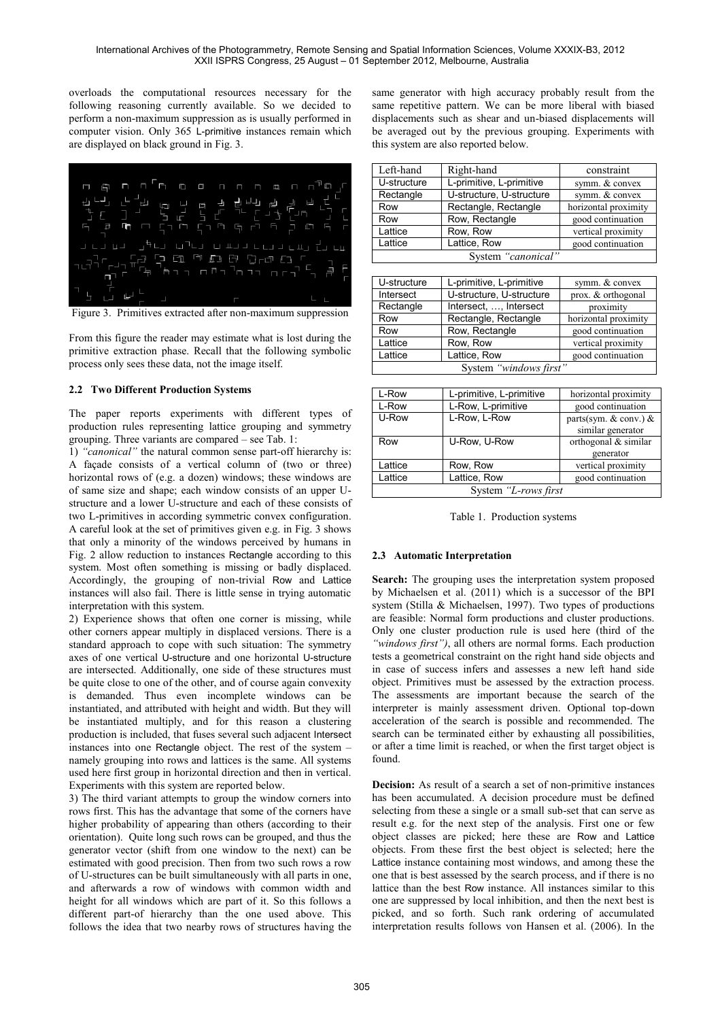overloads the computational resources necessary for the following reasoning currently available. So we decided to perform a non-maximum suppression as is usually performed in computer vision. Only 365 L-primitive instances remain which are displayed on black ground in Fig. 3.



Figure 3. Primitives extracted after non-maximum suppression

From this figure the reader may estimate what is lost during the primitive extraction phase. Recall that the following symbolic process only sees these data, not the image itself.

# **2.2 Two Different Production Systems**

The paper reports experiments with different types of production rules representing lattice grouping and symmetry grouping. Three variants are compared – see Tab. 1:

1) *"canonical"* the natural common sense part-off hierarchy is: A façade consists of a vertical column of (two or three) horizontal rows of (e.g. a dozen) windows; these windows are of same size and shape; each window consists of an upper Ustructure and a lower U-structure and each of these consists of two L-primitives in according symmetric convex configuration. A careful look at the set of primitives given e.g. in Fig. 3 shows that only a minority of the windows perceived by humans in Fig. 2 allow reduction to instances Rectangle according to this system. Most often something is missing or badly displaced. Accordingly, the grouping of non-trivial Row and Lattice instances will also fail. There is little sense in trying automatic interpretation with this system.

2) Experience shows that often one corner is missing, while other corners appear multiply in displaced versions. There is a standard approach to cope with such situation: The symmetry axes of one vertical U-structure and one horizontal U-structure are intersected. Additionally, one side of these structures must be quite close to one of the other, and of course again convexity is demanded. Thus even incomplete windows can be instantiated, and attributed with height and width. But they will be instantiated multiply, and for this reason a clustering production is included, that fuses several such adjacent Intersect instances into one Rectangle object. The rest of the system – namely grouping into rows and lattices is the same. All systems used here first group in horizontal direction and then in vertical. Experiments with this system are reported below.

3) The third variant attempts to group the window corners into rows first. This has the advantage that some of the corners have higher probability of appearing than others (according to their orientation). Quite long such rows can be grouped, and thus the generator vector (shift from one window to the next) can be estimated with good precision. Then from two such rows a row of U-structures can be built simultaneously with all parts in one, and afterwards a row of windows with common width and height for all windows which are part of it. So this follows a different part-of hierarchy than the one used above. This follows the idea that two nearby rows of structures having the same generator with high accuracy probably result from the same repetitive pattern. We can be more liberal with biased displacements such as shear and un-biased displacements will be averaged out by the previous grouping. Experiments with this system are also reported below.

| Left-hand          | Right-hand               | constraint           |  |
|--------------------|--------------------------|----------------------|--|
| U-structure        | L-primitive, L-primitive | symm. & convex       |  |
| Rectangle          | U-structure, U-structure | symm. & convex       |  |
| Row                | Rectangle, Rectangle     | horizontal proximity |  |
| Row                | Row, Rectangle           | good continuation    |  |
| Lattice            | Row, Row                 | vertical proximity   |  |
| Lattice            | Lattice, Row             | good continuation    |  |
| System "canonical" |                          |                      |  |

| U-structure            | L-primitive, L-primitive | symm. & convex       |  |
|------------------------|--------------------------|----------------------|--|
| Intersect              | U-structure, U-structure | prox. & orthogonal   |  |
| Rectangle              | Intersect, , Intersect   | proximity            |  |
| Row                    | Rectangle, Rectangle     | horizontal proximity |  |
| Row                    | Row, Rectangle           | good continuation    |  |
| Lattice                | Row, Row                 | vertical proximity   |  |
| Lattice                | Lattice, Row             | good continuation    |  |
| System "windows first" |                          |                      |  |

| L-Row                | L-primitive, L-primitive | horizontal proximity      |
|----------------------|--------------------------|---------------------------|
| L-Row                | L-Row, L-primitive       | good continuation         |
| U-Row                | L-Row, L-Row             | parts(sym. $&$ conv.) $&$ |
|                      |                          | similar generator         |
| Row                  | U-Row, U-Row             | orthogonal & similar      |
|                      |                          | generator                 |
| Lattice              | Row, Row                 | vertical proximity        |
| Lattice              | Lattice, Row             | good continuation         |
| System "L-rows first |                          |                           |

Table 1. Production systems

# **2.3 Automatic Interpretation**

**Search:** The grouping uses the interpretation system proposed by Michaelsen et al. (2011) which is a successor of the BPI system (Stilla & Michaelsen, 1997). Two types of productions are feasible: Normal form productions and cluster productions. Only one cluster production rule is used here (third of the *"windows first")*, all others are normal forms. Each production tests a geometrical constraint on the right hand side objects and in case of success infers and assesses a new left hand side object. Primitives must be assessed by the extraction process. The assessments are important because the search of the interpreter is mainly assessment driven. Optional top-down acceleration of the search is possible and recommended. The search can be terminated either by exhausting all possibilities, or after a time limit is reached, or when the first target object is found.

**Decision:** As result of a search a set of non-primitive instances has been accumulated. A decision procedure must be defined selecting from these a single or a small sub-set that can serve as result e.g. for the next step of the analysis. First one or few object classes are picked; here these are Row and Lattice objects. From these first the best object is selected; here the Lattice instance containing most windows, and among these the one that is best assessed by the search process, and if there is no lattice than the best Row instance. All instances similar to this one are suppressed by local inhibition, and then the next best is picked, and so forth. Such rank ordering of accumulated interpretation results follows von Hansen et al. (2006). In the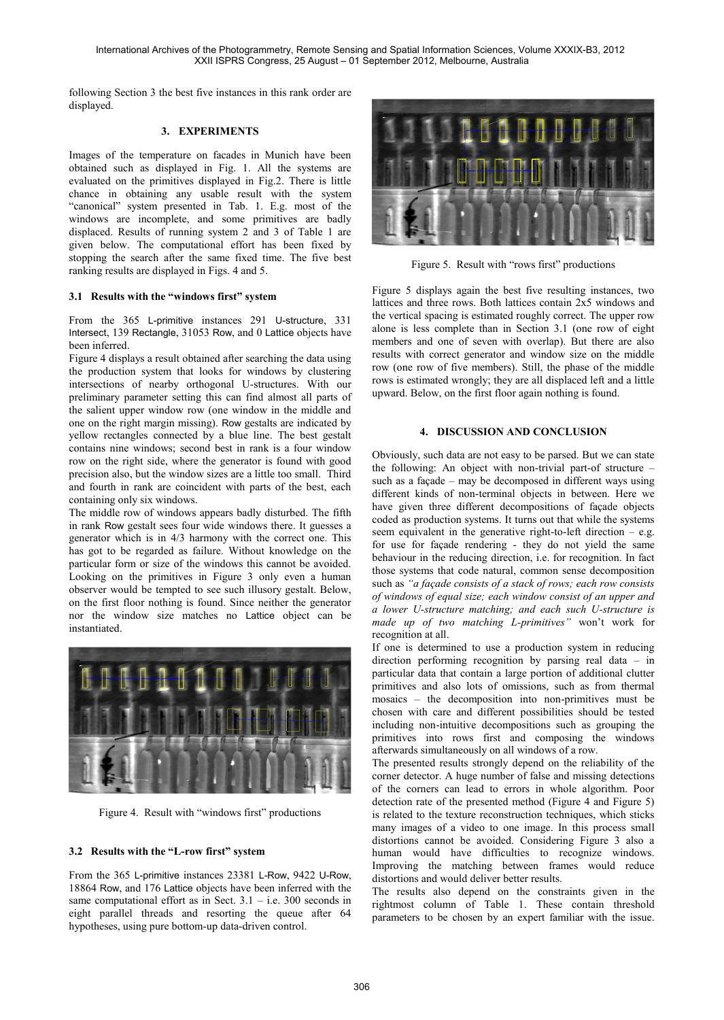International Archives of the Photogrammetry, Remote Sensing and Spatial Information Sciences, Volume XXXIX-B3, 2012 XXII ISPRS Congress, 25 August – 01 September 2012, Melbourne, Australia

following Section 3 the best five instances in this rank order are displayed.

#### **3. EXPERIMENTS**

Images of the temperature on facades in Munich have been obtained such as displayed in Fig. 1. All the systems are evaluated on the primitives displayed in Fig.2. There is little chance in obtaining any usable result with the system "canonical" system presented in Tab. 1. E.g. most of the windows are incomplete, and some primitives are badly displaced. Results of running system 2 and 3 of Table 1 are given below. The computational effort has been fixed by stopping the search after the same fixed time. The five best ranking results are displayed in Figs. 4 and 5.

#### **3.1 Results with the "windows first" system**

From the 365 L-primitive instances 291 U-structure, 331 Intersect, 139 Rectangle, 31053 Row, and 0 Lattice objects have been inferred.

Figure 4 displays a result obtained after searching the data using the production system that looks for windows by clustering intersections of nearby orthogonal U-structures. With our preliminary parameter setting this can find almost all parts of the salient upper window row (one window in the middle and one on the right margin missing). Row gestalts are indicated by yellow rectangles connected by a blue line. The best gestalt contains nine windows; second best in rank is a four window row on the right side, where the generator is found with good precision also, but the window sizes are a little too small. Third and fourth in rank are coincident with parts of the best, each containing only six windows.

The middle row of windows appears badly disturbed. The fifth in rank Row gestalt sees four wide windows there. It guesses a generator which is in 4/3 harmony with the correct one. This has got to be regarded as failure. Without knowledge on the particular form or size of the windows this cannot be avoided. Looking on the primitives in Figure 3 only even a human observer would be tempted to see such illusory gestalt. Below, on the first floor nothing is found. Since neither the generator nor the window size matches no Lattice object can be instantiated.



Figure 4. Result with "windows first" productions

# **3.2 Results with the "L-row first" system**

From the 365 L-primitive instances 23381 L-Row, 9422 U-Row, 18864 Row, and 176 Lattice objects have been inferred with the same computational effort as in Sect.  $3.1 - i.e.$  300 seconds in eight parallel threads and resorting the queue after 64 hypotheses, using pure bottom-up data-driven control.



Figure 5. Result with "rows first" productions

Figure 5 displays again the best five resulting instances, two lattices and three rows. Both lattices contain 2x5 windows and the vertical spacing is estimated roughly correct. The upper row alone is less complete than in Section 3.1 (one row of eight members and one of seven with overlap). But there are also results with correct generator and window size on the middle row (one row of five members). Still, the phase of the middle rows is estimated wrongly; they are all displaced left and a little upward. Below, on the first floor again nothing is found.

#### **4. DISCUSSION AND CONCLUSION**

Obviously, such data are not easy to be parsed. But we can state the following: An object with non-trivial part-of structure – such as a façade – may be decomposed in different ways using different kinds of non-terminal objects in between. Here we have given three different decompositions of façade objects coded as production systems. It turns out that while the systems seem equivalent in the generative right-to-left direction  $-$  e.g. for use for façade rendering - they do not yield the same behaviour in the reducing direction, i.e. for recognition. In fact those systems that code natural, common sense decomposition such as *"a façade consists of a stack of rows; each row consists of windows of equal size; each window consist of an upper and a lower U-structure matching; and each such U-structure is made up of two matching L-primitives"* won't work for recognition at all.

If one is determined to use a production system in reducing direction performing recognition by parsing real data – in particular data that contain a large portion of additional clutter primitives and also lots of omissions, such as from thermal mosaics – the decomposition into non-primitives must be chosen with care and different possibilities should be tested including non-intuitive decompositions such as grouping the primitives into rows first and composing the windows afterwards simultaneously on all windows of a row.

The presented results strongly depend on the reliability of the corner detector. A huge number of false and missing detections of the corners can lead to errors in whole algorithm. Poor detection rate of the presented method (Figure 4 and Figure 5) is related to the texture reconstruction techniques, which sticks many images of a video to one image. In this process small distortions cannot be avoided. Considering Figure 3 also a human would have difficulties to recognize windows. Improving the matching between frames would reduce distortions and would deliver better results.

The results also depend on the constraints given in the rightmost column of Table 1. These contain threshold parameters to be chosen by an expert familiar with the issue.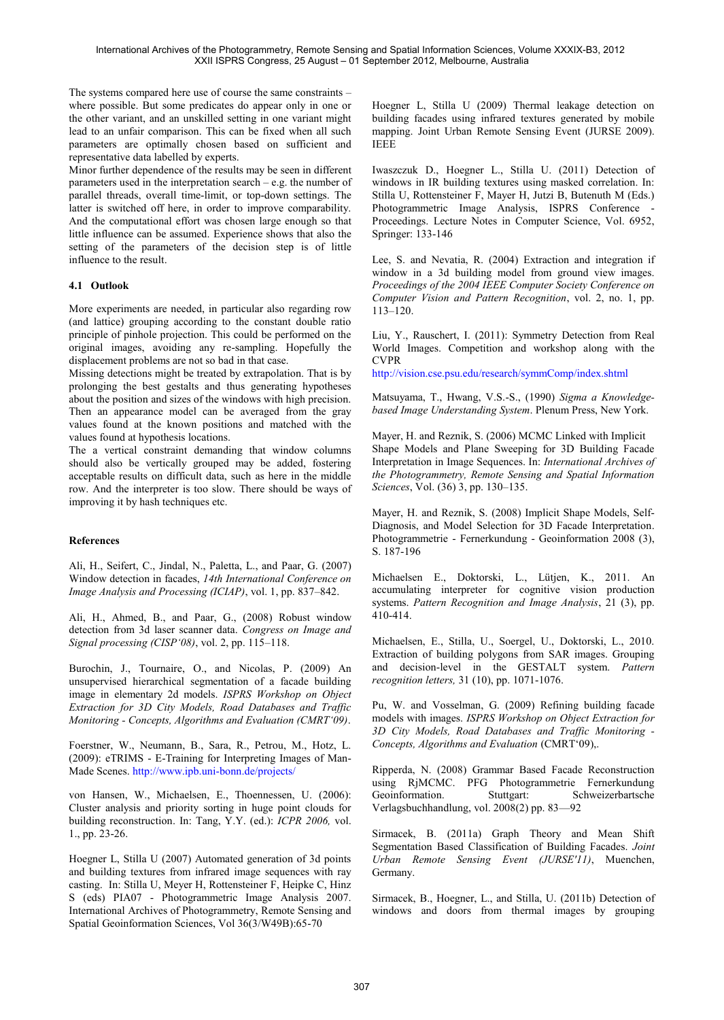The systems compared here use of course the same constraints – where possible. But some predicates do appear only in one or the other variant, and an unskilled setting in one variant might lead to an unfair comparison. This can be fixed when all such parameters are optimally chosen based on sufficient and representative data labelled by experts.

Minor further dependence of the results may be seen in different parameters used in the interpretation search – e.g. the number of parallel threads, overall time-limit, or top-down settings. The latter is switched off here, in order to improve comparability. And the computational effort was chosen large enough so that little influence can be assumed. Experience shows that also the setting of the parameters of the decision step is of little influence to the result.

# **4.1 Outlook**

More experiments are needed, in particular also regarding row (and lattice) grouping according to the constant double ratio principle of pinhole projection. This could be performed on the original images, avoiding any re-sampling. Hopefully the displacement problems are not so bad in that case.

Missing detections might be treated by extrapolation. That is by prolonging the best gestalts and thus generating hypotheses about the position and sizes of the windows with high precision. Then an appearance model can be averaged from the gray values found at the known positions and matched with the values found at hypothesis locations.

The a vertical constraint demanding that window columns should also be vertically grouped may be added, fostering acceptable results on difficult data, such as here in the middle row. And the interpreter is too slow. There should be ways of improving it by hash techniques etc.

# **References**

Ali, H., Seifert, C., Jindal, N., Paletta, L., and Paar, G. (2007) Window detection in facades, *14th International Conference on Image Analysis and Processing (ICIAP)*, vol. 1, pp. 837–842.

Ali, H., Ahmed, B., and Paar, G., (2008) Robust window detection from 3d laser scanner data. *Congress on Image and Signal processing (CISP'08)*, vol. 2, pp. 115–118.

Burochin, J., Tournaire, O., and Nicolas, P. (2009) An unsupervised hierarchical segmentation of a facade building image in elementary 2d models. *ISPRS Workshop on Object Extraction for 3D City Models, Road Databases and Traffic Monitoring - Concepts, Algorithms and Evaluation (CMRT'09)*.

Foerstner, W., Neumann, B., Sara, R., Petrou, M., Hotz, L. (2009): eTRIMS - E-Training for Interpreting Images of Man-Made Scenes.<http://www.ipb.uni-bonn.de/projects/>

von Hansen, W., Michaelsen, E., Thoennessen, U. (2006): Cluster analysis and priority sorting in huge point clouds for building reconstruction. In: Tang, Y.Y. (ed.): *ICPR 2006,* vol. 1., pp. 23-26.

Hoegner L, Stilla U (2007) Automated generation of 3d points and building textures from infrared image sequences with ray casting. In: Stilla U, Meyer H, Rottensteiner F, Heipke C, Hinz S (eds) PIA07 - Photogrammetric Image Analysis 2007. International Archives of Photogrammetry, Remote Sensing and Spatial Geoinformation Sciences, Vol 36(3/W49B):65-70

Hoegner L, Stilla U (2009) Thermal leakage detection on building facades using infrared textures generated by mobile mapping. Joint Urban Remote Sensing Event (JURSE 2009). IEEE

Iwaszczuk D., Hoegner L., Stilla U. (2011) Detection of windows in IR building textures using masked correlation. In: Stilla U, Rottensteiner F, Mayer H, Jutzi B, Butenuth M (Eds.) Photogrammetric Image Analysis, ISPRS Conference - Proceedings. Lecture Notes in Computer Science, Vol. 6952, Springer: 133-146

Lee, S. and Nevatia, R. (2004) Extraction and integration if window in a 3d building model from ground view images. *Proceedings of the 2004 IEEE Computer Society Conference on Computer Vision and Pattern Recognition*, vol. 2, no. 1, pp. 113–120.

Liu, Y., Rauschert, I. (2011): Symmetry Detection from Real World Images. Competition and workshop along with the CVPR

<http://vision.cse.psu.edu/research/symmComp/index.shtml>

Matsuyama, T., Hwang, V.S.-S., (1990) *Sigma a Knowledgebased Image Understanding System*. Plenum Press, New York.

Mayer, H. and Reznik, S. (2006) MCMC Linked with Implicit Shape Models and Plane Sweeping for 3D Building Facade Interpretation in Image Sequences. In: *International Archives of the Photogrammetry, Remote Sensing and Spatial Information Sciences*, Vol. (36) 3, pp. 130–135.

Mayer, H. and Reznik, S. (2008) Implicit Shape Models, Self-Diagnosis, and Model Selection for 3D Facade Interpretation. Photogrammetrie - Fernerkundung - Geoinformation 2008 (3), S. 187-196

Michaelsen E., Doktorski, L., Lütjen, K., 2011. An accumulating interpreter for cognitive vision production systems. *Pattern Recognition and Image Analysis*, 21 (3), pp. 410-414.

Michaelsen, E., Stilla, U., Soergel, U., Doktorski, L., 2010. Extraction of building polygons from SAR images. Grouping and decision-level in the GESTALT system. *Pattern recognition letters,* 31 (10), pp. 1071-1076.

Pu, W. and Vosselman, G. (2009) Refining building facade models with images. *ISPRS Workshop on Object Extraction for 3D City Models, Road Databases and Traffic Monitoring - Concepts, Algorithms and Evaluation* (CMRT'09),.

Ripperda, N. (2008) Grammar Based Facade Reconstruction using RjMCMC. PFG Photogrammetrie Fernerkundung Geoinformation. Stuttgart: Schweizerbartsche Verlagsbuchhandlung, vol. 2008(2) pp. 83—92

Sirmacek, B. (2011a) Graph Theory and Mean Shift Segmentation Based Classification of Building Facades. *Joint Urban Remote Sensing Event (JURSE'11)*, Muenchen, Germany.

Sirmacek, B., Hoegner, L., and Stilla, U. (2011b) Detection of windows and doors from thermal images by grouping